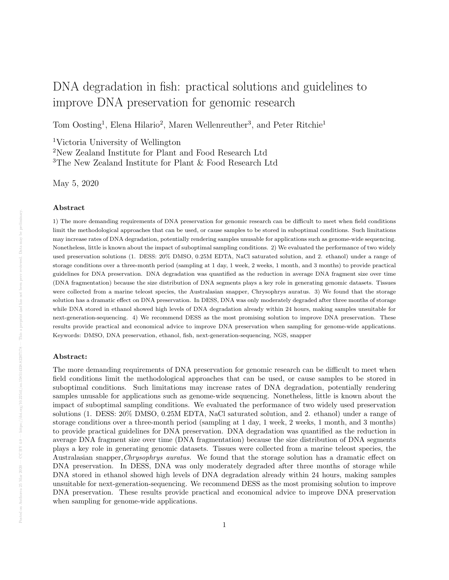# DNA degradation in fish: practical solutions and guidelines to improve DNA preservation for genomic research

Tom Oosting<sup>1</sup>, Elena Hilario<sup>2</sup>, Maren Wellenreuther<sup>3</sup>, and Peter Ritchie<sup>1</sup>

<sup>1</sup>Victoria University of Wellington

<sup>2</sup>New Zealand Institute for Plant and Food Research Ltd

<sup>3</sup>The New Zealand Institute for Plant & Food Research Ltd

May 5, 2020

#### Abstract

1) The more demanding requirements of DNA preservation for genomic research can be difficult to meet when field conditions limit the methodological approaches that can be used, or cause samples to be stored in suboptimal conditions. Such limitations may increase rates of DNA degradation, potentially rendering samples unusable for applications such as genome-wide sequencing. Nonetheless, little is known about the impact of suboptimal sampling conditions. 2) We evaluated the performance of two widely used preservation solutions (1. DESS: 20% DMSO, 0.25M EDTA, NaCl saturated solution, and 2. ethanol) under a range of storage conditions over a three-month period (sampling at 1 day, 1 week, 2 weeks, 1 month, and 3 months) to provide practical guidelines for DNA preservation. DNA degradation was quantified as the reduction in average DNA fragment size over time (DNA fragmentation) because the size distribution of DNA segments plays a key role in generating genomic datasets. Tissues were collected from a marine teleost species, the Australasian snapper, Chrysophrys auratus. 3) We found that the storage solution has a dramatic effect on DNA preservation. In DESS, DNA was only moderately degraded after three months of storage while DNA stored in ethanol showed high levels of DNA degradation already within 24 hours, making samples unsuitable for next-generation-sequencing. 4) We recommend DESS as the most promising solution to improve DNA preservation. These results provide practical and economical advice to improve DNA preservation when sampling for genome-wide applications. Keywords: DMSO, DNA preservation, ethanol, fish, next-generation-sequencing, NGS, snapper

#### Abstract:

The more demanding requirements of DNA preservation for genomic research can be difficult to meet when field conditions limit the methodological approaches that can be used, or cause samples to be stored in suboptimal conditions. Such limitations may increase rates of DNA degradation, potentially rendering samples unusable for applications such as genome-wide sequencing. Nonetheless, little is known about the impact of suboptimal sampling conditions. We evaluated the performance of two widely used preservation solutions (1. DESS: 20% DMSO, 0.25M EDTA, NaCl saturated solution, and 2. ethanol) under a range of storage conditions over a three-month period (sampling at 1 day, 1 week, 2 weeks, 1 month, and 3 months) to provide practical guidelines for DNA preservation. DNA degradation was quantified as the reduction in average DNA fragment size over time (DNA fragmentation) because the size distribution of DNA segments plays a key role in generating genomic datasets. Tissues were collected from a marine teleost species, the Australasian snapper,Chrysophrys auratus. We found that the storage solution has a dramatic effect on DNA preservation. In DESS, DNA was only moderately degraded after three months of storage while DNA stored in ethanol showed high levels of DNA degradation already within 24 hours, making samples unsuitable for next-generation-sequencing. We recommend DESS as the most promising solution to improve DNA preservation. These results provide practical and economical advice to improve DNA preservation when sampling for genome-wide applications.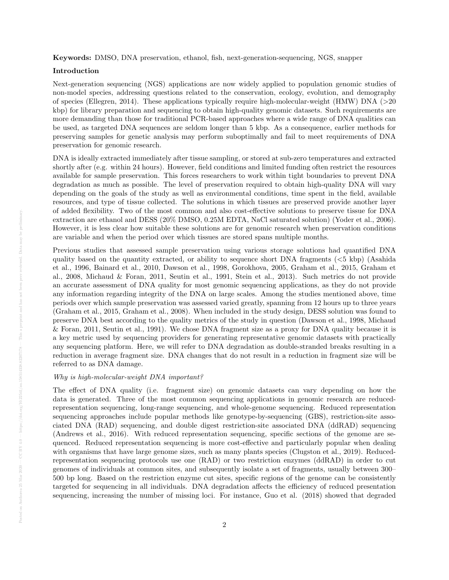Keywords: DMSO, DNA preservation, ethanol, fish, next-generation-sequencing, NGS, snapper

#### Introduction

Next-generation sequencing (NGS) applications are now widely applied to population genomic studies of non-model species, addressing questions related to the conservation, ecology, evolution, and demography of species (Ellegren, 2014). These applications typically require high-molecular-weight (HMW) DNA (>20 kbp) for library preparation and sequencing to obtain high-quality genomic datasets. Such requirements are more demanding than those for traditional PCR-based approaches where a wide range of DNA qualities can be used, as targeted DNA sequences are seldom longer than 5 kbp. As a consequence, earlier methods for preserving samples for genetic analysis may perform suboptimally and fail to meet requirements of DNA preservation for genomic research.

DNA is ideally extracted immediately after tissue sampling, or stored at sub-zero temperatures and extracted shortly after (e.g. within 24 hours). However, field conditions and limited funding often restrict the resources available for sample preservation. This forces researchers to work within tight boundaries to prevent DNA degradation as much as possible. The level of preservation required to obtain high-quality DNA will vary depending on the goals of the study as well as environmental conditions, time spent in the field, available resources, and type of tissue collected. The solutions in which tissues are preserved provide another layer of added flexibility. Two of the most common and also cost-effective solutions to preserve tissue for DNA extraction are ethanol and DESS (20% DMSO, 0.25M EDTA, NaCl saturated solution) (Yoder et al., 2006). However, it is less clear how suitable these solutions are for genomic research when preservation conditions are variable and when the period over which tissues are stored spans multiple months.

Previous studies that assessed sample preservation using various storage solutions had quantified DNA quality based on the quantity extracted, or ability to sequence short DNA fragments  $( $5 \text{ kbp}$ )$  (Asahida et al., 1996, Bainard et al., 2010, Dawson et al., 1998, Gorokhova, 2005, Graham et al., 2015, Graham et al., 2008, Michaud & Foran, 2011, Seutin et al., 1991, Stein et al., 2013). Such metrics do not provide an accurate assessment of DNA quality for most genomic sequencing applications, as they do not provide any information regarding integrity of the DNA on large scales. Among the studies mentioned above, time periods over which sample preservation was assessed varied greatly, spanning from 12 hours up to three years (Graham et al., 2015, Graham et al., 2008). When included in the study design, DESS solution was found to preserve DNA best according to the quality metrics of the study in question (Dawson et al., 1998, Michaud & Foran, 2011, Seutin et al., 1991). We chose DNA fragment size as a proxy for DNA quality because it is a key metric used by sequencing providers for generating representative genomic datasets with practically any sequencing platform. Here, we will refer to DNA degradation as double-stranded breaks resulting in a reduction in average fragment size. DNA changes that do not result in a reduction in fragment size will be referred to as DNA damage.

#### Why is high-molecular-weight DNA important?

The effect of DNA quality (i.e. fragment size) on genomic datasets can vary depending on how the data is generated. Three of the most common sequencing applications in genomic research are reducedrepresentation sequencing, long-range sequencing, and whole-genome sequencing. Reduced representation sequencing approaches include popular methods like genotype-by-sequencing (GBS), restriction-site associated DNA (RAD) sequencing, and double digest restriction-site associated DNA (ddRAD) sequencing (Andrews et al., 2016). With reduced representation sequencing, specific sections of the genome are sequenced. Reduced representation sequencing is more cost-effective and particularly popular when dealing with organisms that have large genome sizes, such as many plants species (Clugston et al., 2019). Reducedrepresentation sequencing protocols use one (RAD) or two restriction enzymes (ddRAD) in order to cut genomes of individuals at common sites, and subsequently isolate a set of fragments, usually between 300– 500 bp long. Based on the restriction enzyme cut sites, specific regions of the genome can be consistently targeted for sequencing in all individuals. DNA degradation affects the efficiency of reduced presentation sequencing, increasing the number of missing loci. For instance, Guo et al. (2018) showed that degraded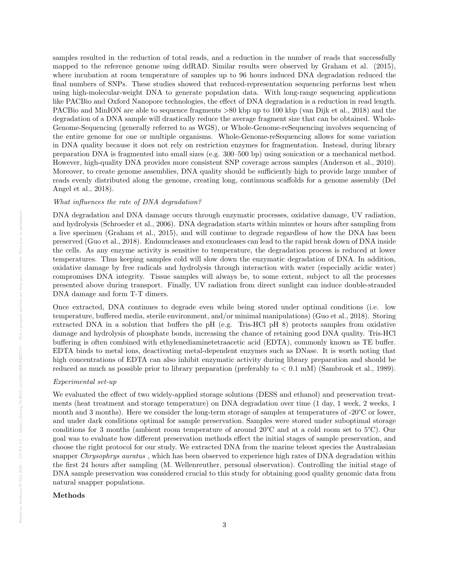samples resulted in the reduction of total reads, and a reduction in the number of reads that successfully mapped to the reference genome using ddRAD. Similar results were observed by Graham et al. (2015), where incubation at room temperature of samples up to 96 hours induced DNA degradation reduced the final numbers of SNPs. These studies showed that reduced-representation sequencing performs best when using high-molecular-weight DNA to generate population data. With long-range sequencing applications like PACBio and Oxford Nanopore technologies, the effect of DNA degradation is a reduction in read length. PACBio and MinION are able to sequence fragments >80 kbp up to 100 kbp (van Dijk et al., 2018) and the degradation of a DNA sample will drastically reduce the average fragment size that can be obtained. Whole-Genome-Sequencing (generally referred to as WGS), or Whole-Genome-reSequencing involves sequencing of the entire genome for one or multiple organisms. Whole-Genome-reSequencing allows for some variation in DNA quality because it does not rely on restriction enzymes for fragmentation. Instead, during library preparation DNA is fragmented into small sizes (e.g. 300–500 bp) using sonication or a mechanical method. However, high-quality DNA provides more consistent SNP coverage across samples (Anderson et al., 2010). Moreover, to create genome assemblies, DNA quality should be sufficiently high to provide large number of reads evenly distributed along the genome, creating long, continuous scaffolds for a genome assembly (Del Angel et al., 2018).

#### What influences the rate of DNA degradation?

DNA degradation and DNA damage occurs through enzymatic processes, oxidative damage, UV radiation, and hydrolysis (Schroeder et al., 2006). DNA degradation starts within minutes or hours after sampling from a live specimen (Graham et al., 2015), and will continue to degrade regardless of how the DNA has been preserved (Guo et al., 2018). Endonucleases and exonucleases can lead to the rapid break down of DNA inside the cells. As any enzyme activity is sensitive to temperature, the degradation process is reduced at lower temperatures. Thus keeping samples cold will slow down the enzymatic degradation of DNA. In addition, oxidative damage by free radicals and hydrolysis through interaction with water (especially acidic water) compromises DNA integrity. Tissue samples will always be, to some extent, subject to all the processes presented above during transport. Finally, UV radiation from direct sunlight can induce double-stranded DNA damage and form T-T dimers.

Once extracted, DNA continues to degrade even while being stored under optimal conditions (i.e. low temperature, buffered media, sterile environment, and/or minimal manipulations) (Guo et al., 2018). Storing extracted DNA in a solution that buffers the pH (e.g. Tris-HCl pH 8) protects samples from oxidative damage and hydrolysis of phosphate bonds, increasing the chance of retaining good DNA quality. Tris-HCl buffering is often combined with ethylenediaminetetraacetic acid (EDTA), commonly known as TE buffer. EDTA binds to metal ions, deactivating metal-dependent enzymes such as DNase. It is worth noting that high concentrations of EDTA can also inhibit enzymatic activity during library preparation and should be reduced as much as possible prior to library preparation (preferably to  $< 0.1$  mM) (Sambrook et al., 1989).

### Experimental set-up

We evaluated the effect of two widely-applied storage solutions (DESS and ethanol) and preservation treatments (heat treatment and storage temperature) on DNA degradation over time (1 day, 1 week, 2 weeks, 1 month and 3 months). Here we consider the long-term storage of samples at temperatures of -20°C or lower, and under dark conditions optimal for sample preservation. Samples were stored under suboptimal storage conditions for 3 months (ambient room temperature of around 20°C and at a cold room set to 5°C). Our goal was to evaluate how different preservation methods effect the initial stages of sample preservation, and choose the right protocol for our study. We extracted DNA from the marine teleost species the Australasian snapper Chrysophrys auratus, which has been observed to experience high rates of DNA degradation within the first 24 hours after sampling (M. Wellenreuther, personal observation). Controlling the initial stage of DNA sample preservation was considered crucial to this study for obtaining good quality genomic data from natural snapper populations.

#### Methods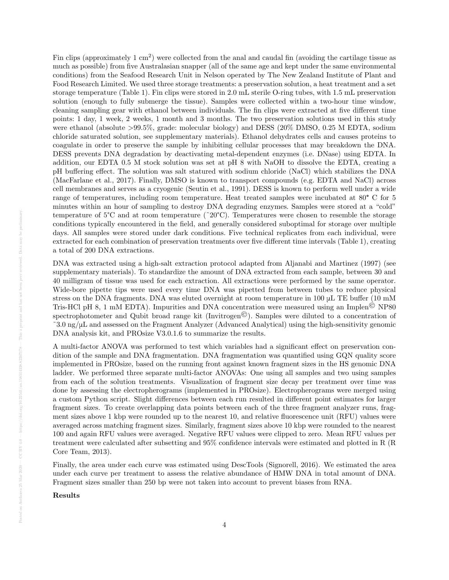Fin clips (approximately 1  $\text{cm}^2$ ) were collected from the anal and caudal fin (avoiding the cartilage tissue as much as possible) from five Australasian snapper (all of the same age and kept under the same environmental conditions) from the Seafood Research Unit in Nelson operated by The New Zealand Institute of Plant and Food Research Limited. We used three storage treatments: a preservation solution, a heat treatment and a set storage temperature (Table 1). Fin clips were stored in 2.0 mL sterile O-ring tubes, with 1.5 mL preservation solution (enough to fully submerge the tissue). Samples were collected within a two-hour time window, cleaning sampling gear with ethanol between individuals. The fin clips were extracted at five different time points: 1 day, 1 week, 2 weeks, 1 month and 3 months. The two preservation solutions used in this study were ethanol (absolute >99.5%, grade: molecular biology) and DESS (20% DMSO, 0.25 M EDTA, sodium chloride saturated solution, see supplementary materials). Ethanol dehydrates cells and causes proteins to coagulate in order to preserve the sample by inhibiting cellular processes that may breakdown the DNA. DESS prevents DNA degradation by deactivating metal-dependent enzymes (i.e. DNase) using EDTA. In addition, our EDTA 0.5 M stock solution was set at pH 8 with NaOH to dissolve the EDTA, creating a pH buffering effect. The solution was salt statured with sodium chloride (NaCl) which stabilizes the DNA (MacFarlane et al., 2017). Finally, DMSO is known to transport compounds (e.g. EDTA and NaCl) across cell membranes and serves as a cryogenic (Seutin et al., 1991). DESS is known to perform well under a wide range of temperatures, including room temperature. Heat treated samples were incubated at 80° C for 5 minutes within an hour of sampling to destroy DNA degrading enzymes. Samples were stored at a "cold" temperature of  $5^{\circ}$ C and at room temperature ( $\degree$ 20 $^{\circ}$ C). Temperatures were chosen to resemble the storage conditions typically encountered in the field, and generally considered suboptimal for storage over multiple days. All samples were stored under dark conditions. Five technical replicates from each individual, were extracted for each combination of preservation treatments over five different time intervals (Table 1), creating a total of 200 DNA extractions.

DNA was extracted using a high-salt extraction protocol adapted from Aljanabi and Martinez (1997) (see supplementary materials). To standardize the amount of DNA extracted from each sample, between 30 and 40 milligram of tissue was used for each extraction. All extractions were performed by the same operator. Wide-bore pipette tips were used every time DNA was pipetted from between tubes to reduce physical stress on the DNA fragments. DNA was eluted overnight at room temperature in 100 μL TE buffer (10 mM Tris-HCl pH 8, 1 mM EDTA). Impurities and DNA concentration were measured using an Implen<sup> $\odot$ </sup> NP80 spectrophotometer and Qubit broad range kit (Invitrogen<sup> $©$ </sup>). Samples were diluted to a concentration of  $\degree$ 3.0 ng/ $\mu$ L and assessed on the Fragment Analyzer (Advanced Analytical) using the high-sensitivity genomic DNA analysis kit, and PROsize V3.0.1.6 to summarize the results.

A multi-factor ANOVA was performed to test which variables had a significant effect on preservation condition of the sample and DNA fragmentation. DNA fragmentation was quantified using GQN quality score implemented in PROsize, based on the running front against known fragment sizes in the HS genomic DNA ladder. We performed three separate multi-factor ANOVAs: One using all samples and two using samples from each of the solution treatments. Visualization of fragment size decay per treatment over time was done by assessing the electropherograms (implemented in PROsize). Electropherograms were merged using a custom Python script. Slight differences between each run resulted in different point estimates for larger fragment sizes. To create overlapping data points between each of the three fragment analyzer runs, fragment sizes above 1 kbp were rounded up to the nearest 10, and relative fluorescence unit (RFU) values were averaged across matching fragment sizes. Similarly, fragment sizes above 10 kbp were rounded to the nearest 100 and again RFU values were averaged. Negative RFU values were clipped to zero. Mean RFU values per treatment were calculated after subsetting and 95% confidence intervals were estimated and plotted in R (R Core Team, 2013).

Finally, the area under each curve was estimated using DescTools (Signorell, 2016). We estimated the area under each curve per treatment to assess the relative abundance of HMW DNA in total amount of DNA. Fragment sizes smaller than 250 bp were not taken into account to prevent biases from RNA.

Results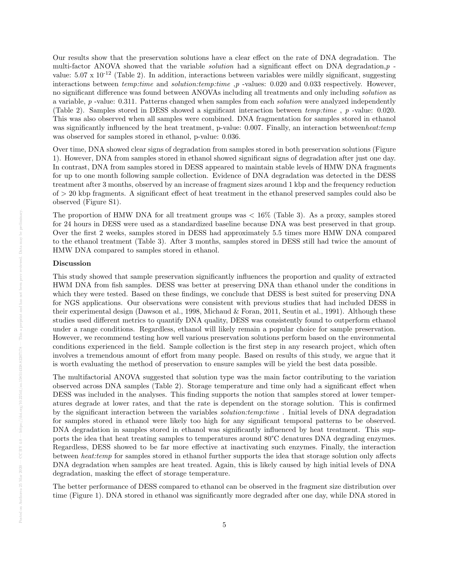Our results show that the preservation solutions have a clear effect on the rate of DNA degradation. The multi-factor ANOVA showed that the variable *solution* had a significant effect on DNA degradation, $p$ . value:  $5.07 \times 10^{-12}$  (Table 2). In addition, interactions between variables were mildly significant, suggesting interactions between temp:time and solution:temp:time ,p -values: 0.020 and 0.033 respectively. However, no significant difference was found between ANOVAs including all treatments and only including solution as a variable, p -value: 0.311. Patterns changed when samples from each solution were analyzed independently (Table 2). Samples stored in DESS showed a significant interaction between temp:time , p -value: 0.020. This was also observed when all samples were combined. DNA fragmentation for samples stored in ethanol was significantly influenced by the heat treatment, p-value: 0.007. Finally, an interaction between heat:temp was observed for samples stored in ethanol, p-value: 0.036.

Over time, DNA showed clear signs of degradation from samples stored in both preservation solutions (Figure 1). However, DNA from samples stored in ethanol showed significant signs of degradation after just one day. In contrast, DNA from samples stored in DESS appeared to maintain stable levels of HMW DNA fragments for up to one month following sample collection. Evidence of DNA degradation was detected in the DESS treatment after 3 months, observed by an increase of fragment sizes around 1 kbp and the frequency reduction of > 20 kbp fragments. A significant effect of heat treatment in the ethanol preserved samples could also be observed (Figure S1).

The proportion of HMW DNA for all treatment groups was < 16% (Table 3). As a proxy, samples stored for 24 hours in DESS were used as a standardized baseline because DNA was best preserved in that group. Over the first 2 weeks, samples stored in DESS had approximately 5.5 times more HMW DNA compared to the ethanol treatment (Table 3). After 3 months, samples stored in DESS still had twice the amount of HMW DNA compared to samples stored in ethanol.

## Discussion

This study showed that sample preservation significantly influences the proportion and quality of extracted HWM DNA from fish samples. DESS was better at preserving DNA than ethanol under the conditions in which they were tested. Based on these findings, we conclude that DESS is best suited for preserving DNA for NGS applications. Our observations were consistent with previous studies that had included DESS in their experimental design (Dawson et al., 1998, Michaud & Foran, 2011, Seutin et al., 1991). Although these studies used different metrics to quantify DNA quality, DESS was consistently found to outperform ethanol under a range conditions. Regardless, ethanol will likely remain a popular choice for sample preservation. However, we recommend testing how well various preservation solutions perform based on the environmental conditions experienced in the field. Sample collection is the first step in any research project, which often involves a tremendous amount of effort from many people. Based on results of this study, we argue that it is worth evaluating the method of preservation to ensure samples will be yield the best data possible.

The multifactorial ANOVA suggested that solution type was the main factor contributing to the variation observed across DNA samples (Table 2). Storage temperature and time only had a significant effect when DESS was included in the analyses. This finding supports the notion that samples stored at lower temperatures degrade at lower rates, and that the rate is dependent on the storage solution. This is confirmed by the significant interaction between the variables solution:temp:time . Initial levels of DNA degradation for samples stored in ethanol were likely too high for any significant temporal patterns to be observed. DNA degradation in samples stored in ethanol was significantly influenced by heat treatment. This supports the idea that heat treating samples to temperatures around 80°C denatures DNA degrading enzymes. Regardless, DESS showed to be far more effective at inactivating such enzymes. Finally, the interaction between heat:temp for samples stored in ethanol further supports the idea that storage solution only affects DNA degradation when samples are heat treated. Again, this is likely caused by high initial levels of DNA degradation, masking the effect of storage temperature.

The better performance of DESS compared to ethanol can be observed in the fragment size distribution over time (Figure 1). DNA stored in ethanol was significantly more degraded after one day, while DNA stored in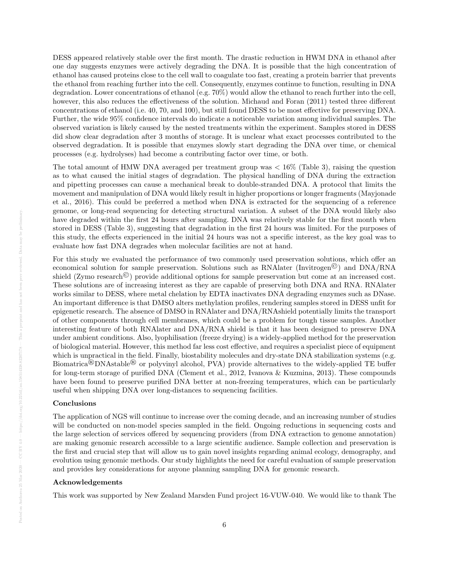DESS appeared relatively stable over the first month. The drastic reduction in HWM DNA in ethanol after one day suggests enzymes were actively degrading the DNA. It is possible that the high concentration of ethanol has caused proteins close to the cell wall to coagulate too fast, creating a protein barrier that prevents the ethanol from reaching further into the cell. Consequently, enzymes continue to function, resulting in DNA degradation. Lower concentrations of ethanol (e.g. 70%) would allow the ethanol to reach further into the cell, however, this also reduces the effectiveness of the solution. Michaud and Foran (2011) tested three different concentrations of ethanol (i.e. 40, 70, and 100), but still found DESS to be most effective for preserving DNA. Further, the wide 95% confidence intervals do indicate a noticeable variation among individual samples. The observed variation is likely caused by the nested treatments within the experiment. Samples stored in DESS did show clear degradation after 3 months of storage. It is unclear what exact processes contributed to the observed degradation. It is possible that enzymes slowly start degrading the DNA over time, or chemical processes (e.g. hydrolyses) had become a contributing factor over time, or both.

The total amount of HMW DNA averaged per treatment group was  $< 16\%$  (Table 3), raising the question as to what caused the initial stages of degradation. The physical handling of DNA during the extraction and pipetting processes can cause a mechanical break to double-stranded DNA. A protocol that limits the movement and manipulation of DNA would likely result in higher proportions or longer fragments (Mayjonade et al., 2016). This could be preferred a method when DNA is extracted for the sequencing of a reference genome, or long-read sequencing for detecting structural variation. A subset of the DNA would likely also have degraded within the first 24 hours after sampling. DNA was relatively stable for the first month when stored in DESS (Table 3), suggesting that degradation in the first 24 hours was limited. For the purposes of this study, the effects experienced in the initial 24 hours was not a specific interest, as the key goal was to evaluate how fast DNA degrades when molecular facilities are not at hand.

For this study we evaluated the performance of two commonly used preservation solutions, which offer an economical solution for sample preservation. Solutions such as RNAlater (Invitrogen©) and DNA/RNA shield (Zymo research<sup> $\circledcirc$ </sup>) provide additional options for sample preservation but come at an increased cost. These solutions are of increasing interest as they are capable of preserving both DNA and RNA. RNAlater works similar to DESS, where metal chelation by EDTA inactivates DNA degrading enzymes such as DNase. An important difference is that DMSO alters methylation profiles, rendering samples stored in DESS unfit for epigenetic research. The absence of DMSO in RNAlater and DNA/RNAshield potentially limits the transport of other components through cell membranes, which could be a problem for tough tissue samples. Another interesting feature of both RNAlater and DNA/RNA shield is that it has been designed to preserve DNA under ambient conditions. Also, lyophilisation (freeze drying) is a widely-applied method for the preservation of biological material. However, this method far less cost effective, and requires a specialist piece of equipment which is unpractical in the field. Finally, biostability molecules and dry-state DNA stabilization systems (e.g. Biomatrica®DNAstable® or polyvinyl alcohol, PVA) provide alternatives to the widely-applied TE buffer for long-term storage of purified DNA (Clement et al., 2012, Ivanova & Kuzmina, 2013). These compounds have been found to preserve purified DNA better at non-freezing temperatures, which can be particularly useful when shipping DNA over long-distances to sequencing facilities.

#### Conclusions

The application of NGS will continue to increase over the coming decade, and an increasing number of studies will be conducted on non-model species sampled in the field. Ongoing reductions in sequencing costs and the large selection of services offered by sequencing providers (from DNA extraction to genome annotation) are making genomic research accessible to a large scientific audience. Sample collection and preservation is the first and crucial step that will allow us to gain novel insights regarding animal ecology, demography, and evolution using genomic methods. Our study highlights the need for careful evaluation of sample preservation and provides key considerations for anyone planning sampling DNA for genomic research.

#### Acknowledgements

This work was supported by New Zealand Marsden Fund project 16-VUW-040. We would like to thank The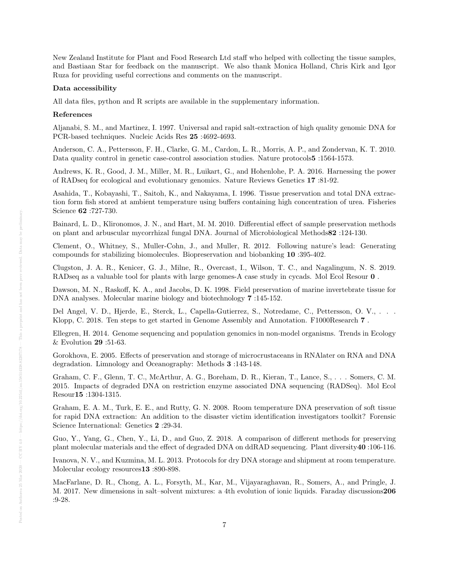New Zealand Institute for Plant and Food Research Ltd staff who helped with collecting the tissue samples, and Bastiaan Star for feedback on the manuscript. We also thank Monica Holland, Chris Kirk and Igor Ruza for providing useful corrections and comments on the manuscript.

#### Data accessibility

All data files, python and R scripts are available in the supplementary information.

#### References

Aljanabi, S. M., and Martinez, I. 1997. Universal and rapid salt-extraction of high quality genomic DNA for PCR-based techniques. Nucleic Acids Res 25 :4692-4693.

Anderson, C. A., Pettersson, F. H., Clarke, G. M., Cardon, L. R., Morris, A. P., and Zondervan, K. T. 2010. Data quality control in genetic case-control association studies. Nature protocols5 :1564-1573.

Andrews, K. R., Good, J. M., Miller, M. R., Luikart, G., and Hohenlohe, P. A. 2016. Harnessing the power of RADseq for ecological and evolutionary genomics. Nature Reviews Genetics 17 :81-92.

Asahida, T., Kobayashi, T., Saitoh, K., and Nakayama, I. 1996. Tissue preservation and total DNA extraction form fish stored at ambient temperature using buffers containing high concentration of urea. Fisheries Science 62 :727-730.

Bainard, L. D., Klironomos, J. N., and Hart, M. M. 2010. Differential effect of sample preservation methods on plant and arbuscular mycorrhizal fungal DNA. Journal of Microbiological Methods82 :124-130.

Clement, O., Whitney, S., Muller-Cohn, J., and Muller, R. 2012. Following nature's lead: Generating compounds for stabilizing biomolecules. Biopreservation and biobanking 10 :395-402.

Clugston, J. A. R., Kenicer, G. J., Milne, R., Overcast, I., Wilson, T. C., and Nagalingum, N. S. 2019. RADseq as a valuable tool for plants with large genomes-A case study in cycads. Mol Ecol Resour 0 .

Dawson, M. N., Raskoff, K. A., and Jacobs, D. K. 1998. Field preservation of marine invertebrate tissue for DNA analyses. Molecular marine biology and biotechnology 7 :145-152.

Del Angel, V. D., Hjerde, E., Sterck, L., Capella-Gutierrez, S., Notredame, C., Pettersson, O. V., . . . Klopp, C. 2018. Ten steps to get started in Genome Assembly and Annotation. F1000Research 7 .

Ellegren, H. 2014. Genome sequencing and population genomics in non-model organisms. Trends in Ecology & Evolution 29 :51-63.

Gorokhova, E. 2005. Effects of preservation and storage of microcrustaceans in RNAlater on RNA and DNA degradation. Limnology and Oceanography: Methods 3 :143-148.

Graham, C. F., Glenn, T. C., McArthur, A. G., Boreham, D. R., Kieran, T., Lance, S., . . . Somers, C. M. 2015. Impacts of degraded DNA on restriction enzyme associated DNA sequencing (RADSeq). Mol Ecol Resour15 :1304-1315.

Graham, E. A. M., Turk, E. E., and Rutty, G. N. 2008. Room temperature DNA preservation of soft tissue for rapid DNA extraction: An addition to the disaster victim identification investigators toolkit? Forensic Science International: Genetics 2 :29-34.

Guo, Y., Yang, G., Chen, Y., Li, D., and Guo, Z. 2018. A comparison of different methods for preserving plant molecular materials and the effect of degraded DNA on ddRAD sequencing. Plant diversity40 :106-116.

Ivanova, N. V., and Kuzmina, M. L. 2013. Protocols for dry DNA storage and shipment at room temperature. Molecular ecology resources 13:890-898.

MacFarlane, D. R., Chong, A. L., Forsyth, M., Kar, M., Vijayaraghavan, R., Somers, A., and Pringle, J. M. 2017. New dimensions in salt–solvent mixtures: a 4th evolution of ionic liquids. Faraday discussions206 :9-28.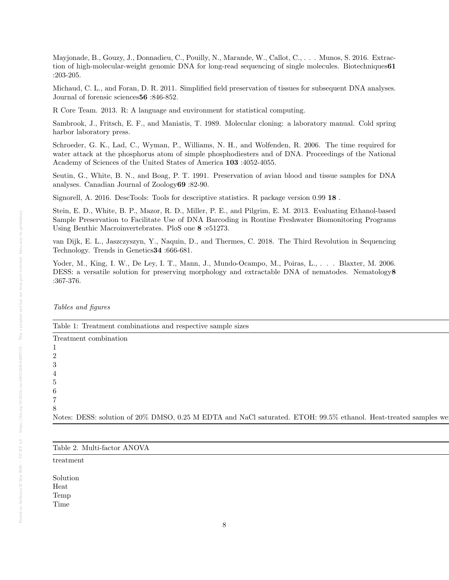Mayjonade, B., Gouzy, J., Donnadieu, C., Pouilly, N., Marande, W., Callot, C., . . . Munos, S. 2016. Extraction of high-molecular-weight genomic DNA for long-read sequencing of single molecules. Biotechniques61 :203-205.

Michaud, C. L., and Foran, D. R. 2011. Simplified field preservation of tissues for subsequent DNA analyses. Journal of forensic sciences56 :846-852.

R Core Team. 2013. R: A language and environment for statistical computing.

Sambrook, J., Fritsch, E. F., and Maniatis, T. 1989. Molecular cloning: a laboratory manual. Cold spring harbor laboratory press.

Schroeder, G. K., Lad, C., Wyman, P., Williams, N. H., and Wolfenden, R. 2006. The time required for water attack at the phosphorus atom of simple phosphodiesters and of DNA. Proceedings of the National Academy of Sciences of the United States of America 103 :4052-4055.

Seutin, G., White, B. N., and Boag, P. T. 1991. Preservation of avian blood and tissue samples for DNA analyses. Canadian Journal of Zoology69 :82-90.

Signorell, A. 2016. DescTools: Tools for descriptive statistics. R package version 0.99 18 .

Stein, E. D., White, B. P., Mazor, R. D., Miller, P. E., and Pilgrim, E. M. 2013. Evaluating Ethanol-based Sample Preservation to Facilitate Use of DNA Barcoding in Routine Freshwater Biomonitoring Programs Using Benthic Macroinvertebrates. PloS one 8 :e51273.

van Dijk, E. L., Jaszczyszyn, Y., Naquin, D., and Thermes, C. 2018. The Third Revolution in Sequencing Technology. Trends in Genetics34 :666-681.

Yoder, M., King, I. W., De Ley, I. T., Mann, J., Mundo-Ocampo, M., Poiras, L., . . . Blaxter, M. 2006. DESS: a versatile solution for preserving morphology and extractable DNA of nematodes. Nematology 8 :367-376.

Tables and figures

Table 1: Treatment combinations and respective sample sizes

Treatment combination  $\mathbb{R}^n$  $1$  $2 \,$  $3 \text{ }$  $4 \pm 4$  $5$  $6$  $7$  $8 \pm 1$ Notes: DESS: solution of 20% DMSO, 0.25 M EDTA and NaCl saturated. ETOH: 99.5% ethanol. Heat-treated samples we

|--|--|--|--|--|

 $t$ reatment p $\overline{v}$ 

Solution 5.07e-12 and 5.07e-12  $\mu$ -12  $\mu$ -12  $\mu$ -12  $\mu$ -12  $\mu$ -12  $\mu$ -12  $\mu$ -12  $\mu$ -12  $\mu$ -12  $\mu$ -12  $\mu$ -12  $\mu$ -12  $\mu$ -12  $\mu$ -12  $\mu$ -12  $\mu$ -12  $\mu$ -12  $\mu$ -12  $\mu$ -12  $\mu$ -12  $\mu$ -12  $\mu$ -12  $\mu$ -12  $\mu$ -12 Heat 0.657 0.803 0.803 0.0007  $\mu$ Temp 0.140 0.228 0.223 0.223 0.223 0.223 0.223 0.223 0.223 0.223 0.223 0.223 0.223 0.223 0.223 0.223 0.223 0.2 Time **The 1.714 o.1414 0.714 0.714 0.714 0.714 0.714 0.714 0.714 0.714 0.714 0.714 0.714 0.714 0.714 0.714 0.714 0.714 0.714 0.714 0.714 0.714 0.714 0.714 0.714 0.714 0.714 0.714 0.714 0.714 0.714 0.714 0.714 0.714 0.714 0**